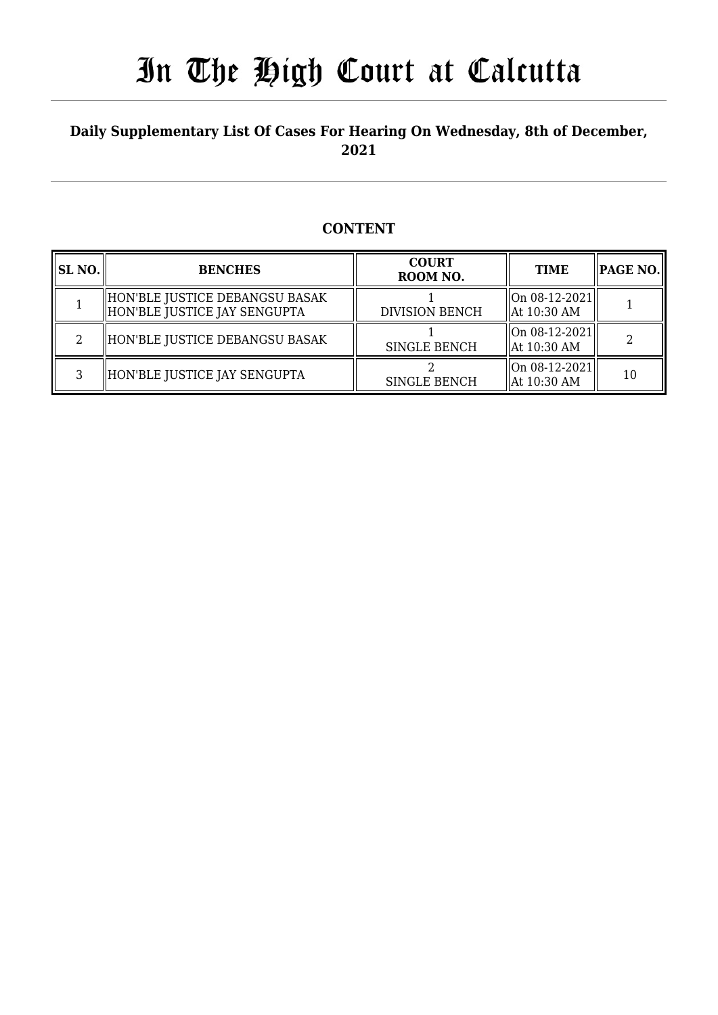### **Daily Supplementary List Of Cases For Hearing On Wednesday, 8th of December, 2021**

### **CONTENT**

| <b>SL NO.</b> | <b>BENCHES</b>                                                  | <b>COURT</b><br>ROOM NO. | <b>TIME</b>                      | <b>PAGE NO.</b> |
|---------------|-----------------------------------------------------------------|--------------------------|----------------------------------|-----------------|
|               | HON'BLE JUSTICE DEBANGSU BASAK <br>HON'BLE JUSTICE JAY SENGUPTA | <b>DIVISION BENCH</b>    | On 08-12-2021  <br>  At 10:30 AM |                 |
| റ             | HON'BLE JUSTICE DEBANGSU BASAK                                  | <b>SINGLE BENCH</b>      | On 08-12-2021  <br>  At 10:30 AM |                 |
| ς             | HON'BLE JUSTICE JAY SENGUPTA                                    | <b>SINGLE BENCH</b>      | On 08-12-2021  <br>  At 10:30 AM | 10              |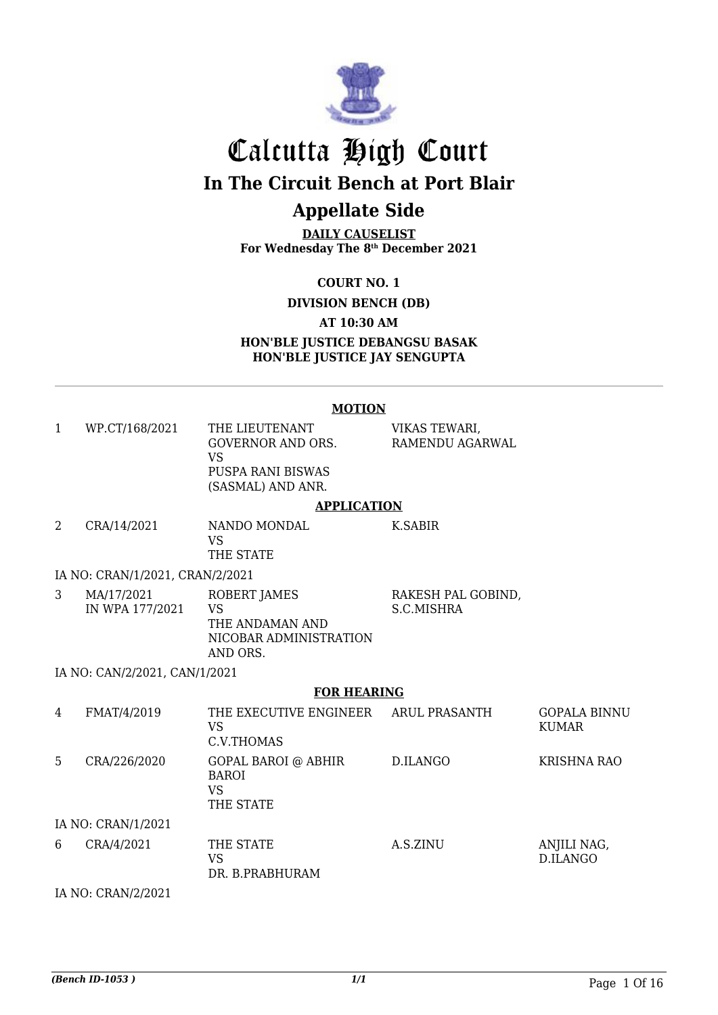

# Calcutta High Court **In The Circuit Bench at Port Blair Appellate Side**

**DAILY CAUSELIST For Wednesday The 8th December 2021**

**COURT NO. 1**

**DIVISION BENCH (DB)**

**AT 10:30 AM**

**HON'BLE JUSTICE DEBANGSU BASAK HON'BLE JUSTICE JAY SENGUPTA**

#### **MOTION**

| 1 | WP.CT/168/2021                  | THE LIEUTENANT<br><b>GOVERNOR AND ORS.</b><br><b>VS</b><br>PUSPA RANI BISWAS<br>(SASMAL) AND ANR. | VIKAS TEWARI,<br>RAMENDU AGARWAL |                                     |
|---|---------------------------------|---------------------------------------------------------------------------------------------------|----------------------------------|-------------------------------------|
|   |                                 | <b>APPLICATION</b>                                                                                |                                  |                                     |
| 2 | CRA/14/2021                     | NANDO MONDAL<br><b>VS</b><br>THE STATE                                                            | K.SABIR                          |                                     |
|   | IA NO: CRAN/1/2021, CRAN/2/2021 |                                                                                                   |                                  |                                     |
| 3 | MA/17/2021<br>IN WPA 177/2021   | ROBERT JAMES<br><b>VS</b><br>THE ANDAMAN AND<br>NICOBAR ADMINISTRATION<br>AND ORS.                | RAKESH PAL GOBIND,<br>S.C.MISHRA |                                     |
|   | IA NO: CAN/2/2021, CAN/1/2021   |                                                                                                   |                                  |                                     |
|   |                                 | <b>FOR HEARING</b>                                                                                |                                  |                                     |
| 4 | FMAT/4/2019                     | THE EXECUTIVE ENGINEER<br><b>VS</b><br>C.V.THOMAS                                                 | <b>ARUL PRASANTH</b>             | <b>GOPALA BINNU</b><br><b>KUMAR</b> |
| 5 | CRA/226/2020                    | GOPAL BAROI @ ABHIR<br><b>BAROI</b><br><b>VS</b><br>THE STATE                                     | D.ILANGO                         | <b>KRISHNA RAO</b>                  |
|   | IA NO: CRAN/1/2021              |                                                                                                   |                                  |                                     |
| 6 | CRA/4/2021                      | THE STATE<br><b>VS</b><br>DR. B.PRABHURAM                                                         | A.S.ZINU                         | ANJILI NAG,<br>D.ILANGO             |
|   |                                 |                                                                                                   |                                  |                                     |

IA NO: CRAN/2/2021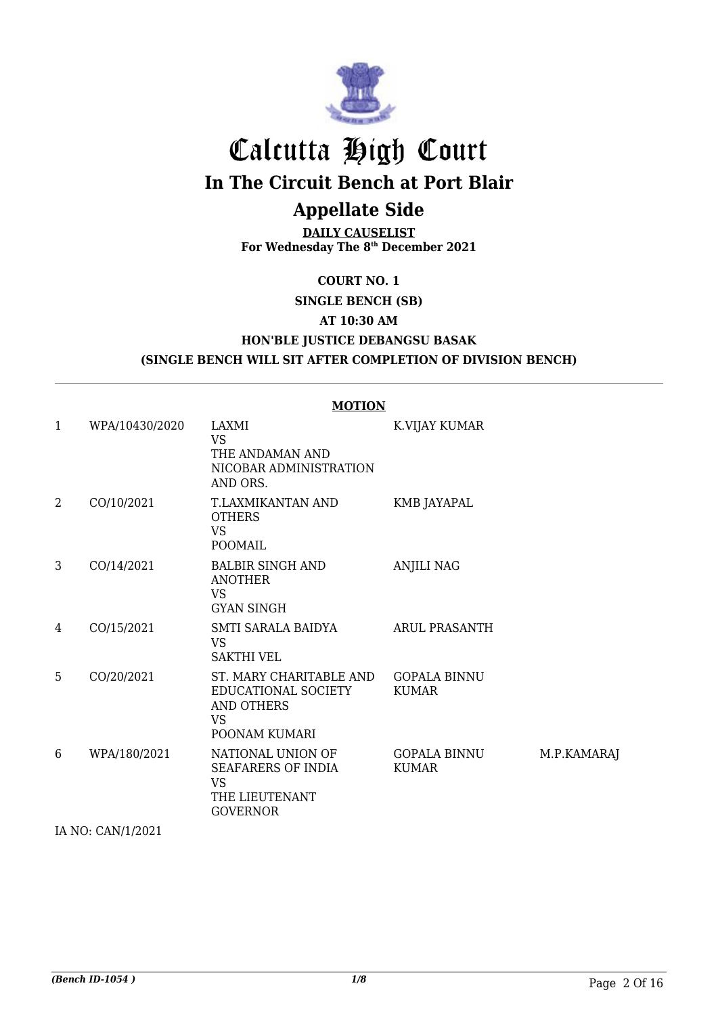

# Calcutta High Court **In The Circuit Bench at Port Blair**

# **Appellate Side**

**DAILY CAUSELIST For Wednesday The 8th December 2021**

#### **COURT NO. 1**

### **SINGLE BENCH (SB) AT 10:30 AM HON'BLE JUSTICE DEBANGSU BASAK (SINGLE BENCH WILL SIT AFTER COMPLETION OF DIVISION BENCH)**

|                | <b>MOTION</b>  |                                                                                                   |                                     |             |  |
|----------------|----------------|---------------------------------------------------------------------------------------------------|-------------------------------------|-------------|--|
| $\mathbf{1}$   | WPA/10430/2020 | LAXMI<br><b>VS</b><br>THE ANDAMAN AND<br>NICOBAR ADMINISTRATION<br>AND ORS.                       | K.VIJAY KUMAR                       |             |  |
| $\overline{2}$ | CO/10/2021     | T.LAXMIKANTAN AND<br><b>OTHERS</b><br><b>VS</b><br><b>POOMAIL</b>                                 | KMB JAYAPAL                         |             |  |
| 3              | CO/14/2021     | <b>BALBIR SINGH AND</b><br><b>ANOTHER</b><br><b>VS</b><br><b>GYAN SINGH</b>                       | ANJILI NAG                          |             |  |
| 4              | CO/15/2021     | SMTI SARALA BAIDYA<br><b>VS</b><br><b>SAKTHI VEL</b>                                              | <b>ARUL PRASANTH</b>                |             |  |
| 5              | CO/20/2021     | ST. MARY CHARITABLE AND<br>EDUCATIONAL SOCIETY<br><b>AND OTHERS</b><br><b>VS</b><br>POONAM KUMARI | <b>GOPALA BINNU</b><br><b>KUMAR</b> |             |  |
| 6              | WPA/180/2021   | NATIONAL UNION OF<br>SEAFARERS OF INDIA<br><b>VS</b><br>THE LIEUTENANT<br><b>GOVERNOR</b>         | GOPALA BINNU<br><b>KUMAR</b>        | M.P.KAMARAJ |  |

IA NO: CAN/1/2021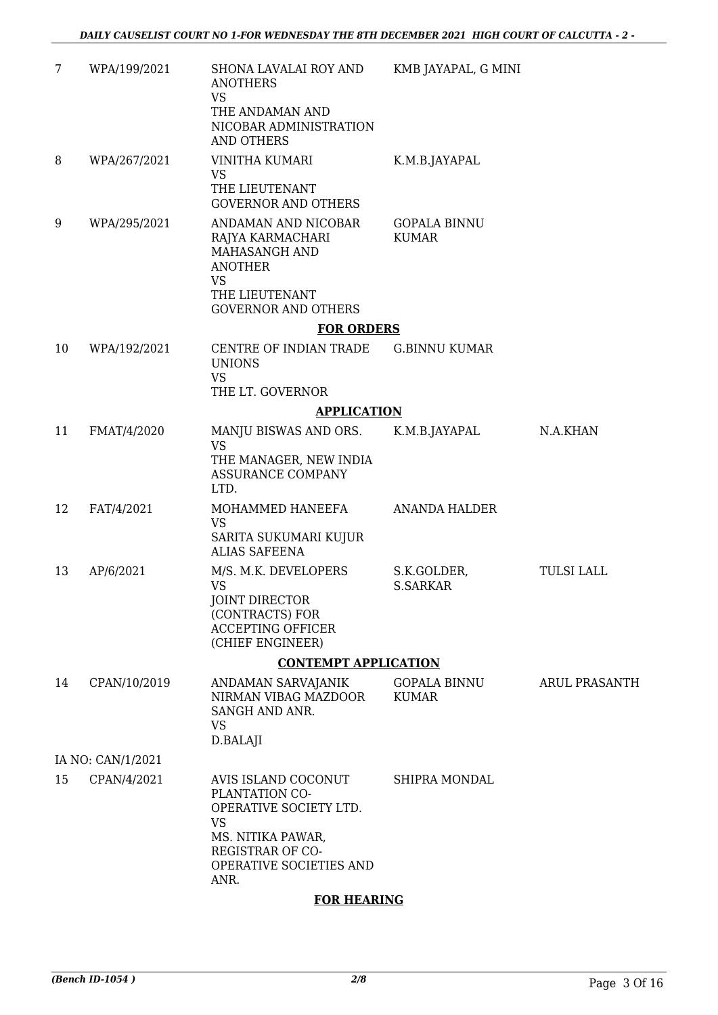| 7  | WPA/199/2021      | SHONA LAVALAI ROY AND<br><b>ANOTHERS</b><br><b>VS</b><br>THE ANDAMAN AND                                                                         | KMB JAYAPAL, G MINI                 |                      |
|----|-------------------|--------------------------------------------------------------------------------------------------------------------------------------------------|-------------------------------------|----------------------|
|    |                   | NICOBAR ADMINISTRATION<br><b>AND OTHERS</b>                                                                                                      |                                     |                      |
| 8  | WPA/267/2021      | VINITHA KUMARI<br><b>VS</b><br>THE LIEUTENANT                                                                                                    | K.M.B.JAYAPAL                       |                      |
|    |                   | <b>GOVERNOR AND OTHERS</b>                                                                                                                       |                                     |                      |
| 9  | WPA/295/2021      | ANDAMAN AND NICOBAR<br>RAJYA KARMACHARI<br>MAHASANGH AND<br><b>ANOTHER</b><br><b>VS</b><br>THE LIEUTENANT<br><b>GOVERNOR AND OTHERS</b>          | <b>GOPALA BINNU</b><br><b>KUMAR</b> |                      |
|    |                   | <b>FOR ORDERS</b>                                                                                                                                |                                     |                      |
| 10 | WPA/192/2021      | CENTRE OF INDIAN TRADE<br><b>UNIONS</b>                                                                                                          | <b>G.BINNU KUMAR</b>                |                      |
|    |                   | <b>VS</b><br>THE LT. GOVERNOR                                                                                                                    |                                     |                      |
|    |                   | <b>APPLICATION</b>                                                                                                                               |                                     |                      |
| 11 | FMAT/4/2020       | MANJU BISWAS AND ORS.                                                                                                                            | K.M.B.JAYAPAL                       | N.A.KHAN             |
|    |                   | <b>VS</b><br>THE MANAGER, NEW INDIA<br>ASSURANCE COMPANY<br>LTD.                                                                                 |                                     |                      |
| 12 | FAT/4/2021        | MOHAMMED HANEEFA<br><b>VS</b><br>SARITA SUKUMARI KUJUR<br><b>ALIAS SAFEENA</b>                                                                   | <b>ANANDA HALDER</b>                |                      |
| 13 | AP/6/2021         | M/S. M.K. DEVELOPERS<br><b>VS</b><br>JOINT DIRECTOR<br>(CONTRACTS) FOR<br><b>ACCEPTING OFFICER</b><br>(CHIEF ENGINEER)                           | S.K.GOLDER,<br><b>S.SARKAR</b>      | <b>TULSI LALL</b>    |
|    |                   | <b>CONTEMPT APPLICATION</b>                                                                                                                      |                                     |                      |
| 14 | CPAN/10/2019      | ANDAMAN SARVAJANIK<br>NIRMAN VIBAG MAZDOOR<br>SANGH AND ANR.<br><b>VS</b>                                                                        | <b>GOPALA BINNU</b><br><b>KUMAR</b> | <b>ARUL PRASANTH</b> |
|    |                   | D.BALAJI                                                                                                                                         |                                     |                      |
|    | IA NO: CAN/1/2021 |                                                                                                                                                  |                                     |                      |
| 15 | CPAN/4/2021       | AVIS ISLAND COCONUT<br>PLANTATION CO-<br>OPERATIVE SOCIETY LTD.<br><b>VS</b><br>MS. NITIKA PAWAR,<br>REGISTRAR OF CO-<br>OPERATIVE SOCIETIES AND | SHIPRA MONDAL                       |                      |
|    |                   | ANR.<br><b>EOD UEADIMO</b>                                                                                                                       |                                     |                      |
|    |                   |                                                                                                                                                  |                                     |                      |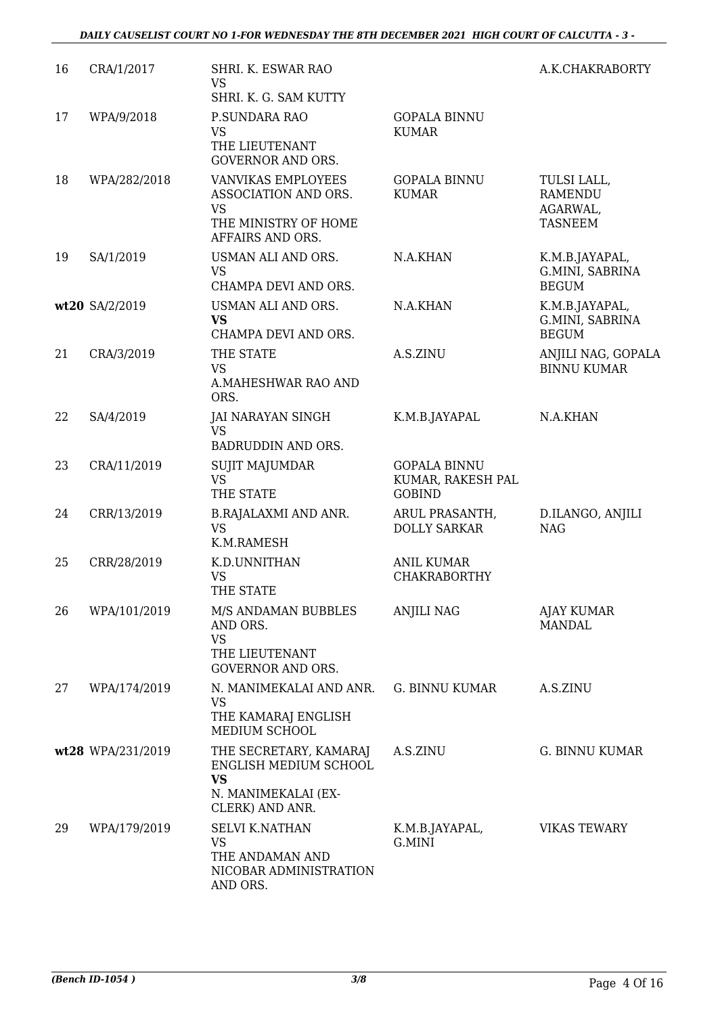| 16 | CRA/1/2017        | SHRI. K. ESWAR RAO<br><b>VS</b><br>SHRI. K. G. SAM KUTTY                                               |                                                           | A.K.CHAKRABORTY                                             |
|----|-------------------|--------------------------------------------------------------------------------------------------------|-----------------------------------------------------------|-------------------------------------------------------------|
| 17 | WPA/9/2018        | P.SUNDARA RAO<br><b>VS</b><br>THE LIEUTENANT<br><b>GOVERNOR AND ORS.</b>                               | <b>GOPALA BINNU</b><br><b>KUMAR</b>                       |                                                             |
| 18 | WPA/282/2018      | VANVIKAS EMPLOYEES<br>ASSOCIATION AND ORS.<br><b>VS</b><br>THE MINISTRY OF HOME<br>AFFAIRS AND ORS.    | <b>GOPALA BINNU</b><br><b>KUMAR</b>                       | TULSI LALL,<br><b>RAMENDU</b><br>AGARWAL,<br><b>TASNEEM</b> |
| 19 | SA/1/2019         | USMAN ALI AND ORS.<br><b>VS</b><br>CHAMPA DEVI AND ORS.                                                | N.A.KHAN                                                  | K.M.B.JAYAPAL,<br>G.MINI, SABRINA<br><b>BEGUM</b>           |
|    | wt20 SA/2/2019    | USMAN ALI AND ORS.<br><b>VS</b><br>CHAMPA DEVI AND ORS.                                                | N.A.KHAN                                                  | K.M.B.JAYAPAL,<br>G.MINI, SABRINA<br><b>BEGUM</b>           |
| 21 | CRA/3/2019        | THE STATE<br><b>VS</b><br>A.MAHESHWAR RAO AND<br>ORS.                                                  | A.S.ZINU                                                  | ANJILI NAG, GOPALA<br><b>BINNU KUMAR</b>                    |
| 22 | SA/4/2019         | JAI NARAYAN SINGH<br><b>VS</b><br>BADRUDDIN AND ORS.                                                   | K.M.B.JAYAPAL                                             | N.A.KHAN                                                    |
| 23 | CRA/11/2019       | SUJIT MAJUMDAR<br><b>VS</b><br>THE STATE                                                               | <b>GOPALA BINNU</b><br>KUMAR, RAKESH PAL<br><b>GOBIND</b> |                                                             |
| 24 | CRR/13/2019       | <b>B.RAJALAXMI AND ANR.</b><br><b>VS</b><br>K.M.RAMESH                                                 | ARUL PRASANTH,<br><b>DOLLY SARKAR</b>                     | D.ILANGO, ANJILI<br><b>NAG</b>                              |
| 25 | CRR/28/2019       | K.D.UNNITHAN<br><b>VS</b><br>THE STATE                                                                 | <b>ANIL KUMAR</b><br><b>CHAKRABORTHY</b>                  |                                                             |
| 26 | WPA/101/2019      | M/S ANDAMAN BUBBLES<br>AND ORS.<br><b>VS</b><br>THE LIEUTENANT<br><b>GOVERNOR AND ORS.</b>             | <b>ANJILI NAG</b>                                         | <b>AJAY KUMAR</b><br>MANDAL                                 |
| 27 | WPA/174/2019      | N. MANIMEKALAI AND ANR.<br><b>VS</b><br>THE KAMARAJ ENGLISH<br>MEDIUM SCHOOL                           | G. BINNU KUMAR                                            | A.S.ZINU                                                    |
|    | wt28 WPA/231/2019 | THE SECRETARY, KAMARAJ<br>ENGLISH MEDIUM SCHOOL<br><b>VS</b><br>N. MANIMEKALAI (EX-<br>CLERK) AND ANR. | A.S.ZINU                                                  | G. BINNU KUMAR                                              |
| 29 | WPA/179/2019      | <b>SELVI K.NATHAN</b><br><b>VS</b><br>THE ANDAMAN AND<br>NICOBAR ADMINISTRATION<br>AND ORS.            | K.M.B.JAYAPAL,<br>G.MINI                                  | <b>VIKAS TEWARY</b>                                         |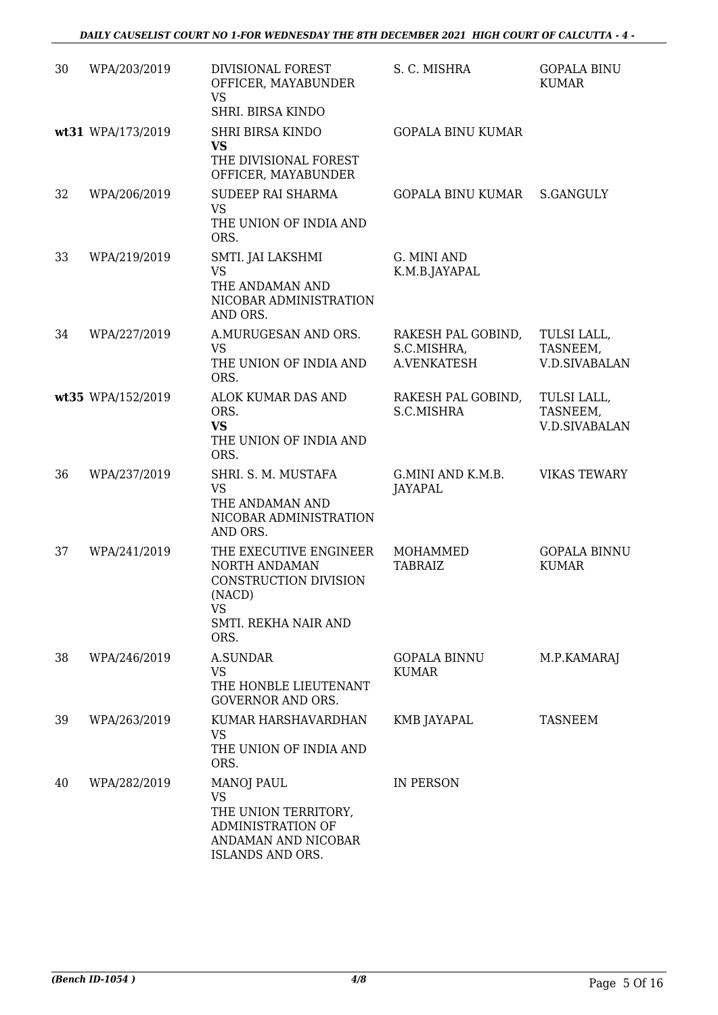| 30 | WPA/203/2019      | DIVISIONAL FOREST<br>OFFICER, MAYABUNDER<br><b>VS</b><br>SHRI. BIRSA KINDO                                              | S. C. MISHRA                                     | <b>GOPALA BINU</b><br><b>KUMAR</b>              |
|----|-------------------|-------------------------------------------------------------------------------------------------------------------------|--------------------------------------------------|-------------------------------------------------|
|    | wt31 WPA/173/2019 | <b>SHRI BIRSA KINDO</b><br><b>VS</b><br>THE DIVISIONAL FOREST<br>OFFICER, MAYABUNDER                                    | <b>GOPALA BINU KUMAR</b>                         |                                                 |
| 32 | WPA/206/2019      | <b>SUDEEP RAI SHARMA</b><br><b>VS</b><br>THE UNION OF INDIA AND<br>ORS.                                                 | GOPALA BINU KUMAR                                | <b>S.GANGULY</b>                                |
| 33 | WPA/219/2019      | SMTI. JAI LAKSHMI<br><b>VS</b><br>THE ANDAMAN AND<br>NICOBAR ADMINISTRATION<br>AND ORS.                                 | G. MINI AND<br>K.M.B.JAYAPAL                     |                                                 |
| 34 | WPA/227/2019      | A.MURUGESAN AND ORS.<br><b>VS</b><br>THE UNION OF INDIA AND<br>ORS.                                                     | RAKESH PAL GOBIND,<br>S.C.MISHRA,<br>A.VENKATESH | TULSI LALL,<br>TASNEEM,<br><b>V.D.SIVABALAN</b> |
|    | wt35 WPA/152/2019 | ALOK KUMAR DAS AND<br>ORS.<br><b>VS</b><br>THE UNION OF INDIA AND<br>ORS.                                               | RAKESH PAL GOBIND,<br>S.C.MISHRA                 | TULSI LALL,<br>TASNEEM,<br><b>V.D.SIVABALAN</b> |
| 36 | WPA/237/2019      | SHRI. S. M. MUSTAFA<br><b>VS</b><br>THE ANDAMAN AND<br>NICOBAR ADMINISTRATION<br>AND ORS.                               | G.MINI AND K.M.B.<br>JAYAPAL                     | <b>VIKAS TEWARY</b>                             |
| 37 | WPA/241/2019      | THE EXECUTIVE ENGINEER<br>NORTH ANDAMAN<br>CONSTRUCTION DIVISION<br>(NACD)<br><b>VS</b><br>SMTI. REKHA NAIR AND<br>ORS. | <b>MOHAMMED</b><br><b>TABRAIZ</b>                | <b>GOPALA BINNU</b><br><b>KUMAR</b>             |
| 38 | WPA/246/2019      | A.SUNDAR<br>VS<br>THE HONBLE LIEUTENANT<br><b>GOVERNOR AND ORS.</b>                                                     | <b>GOPALA BINNU</b><br><b>KUMAR</b>              | M.P.KAMARAJ                                     |
| 39 | WPA/263/2019      | KUMAR HARSHAVARDHAN<br><b>VS</b><br>THE UNION OF INDIA AND<br>ORS.                                                      | KMB JAYAPAL                                      | <b>TASNEEM</b>                                  |
| 40 | WPA/282/2019      | <b>MANOJ PAUL</b><br><b>VS</b><br>THE UNION TERRITORY,<br>ADMINISTRATION OF<br>ANDAMAN AND NICOBAR<br>ISLANDS AND ORS.  | IN PERSON                                        |                                                 |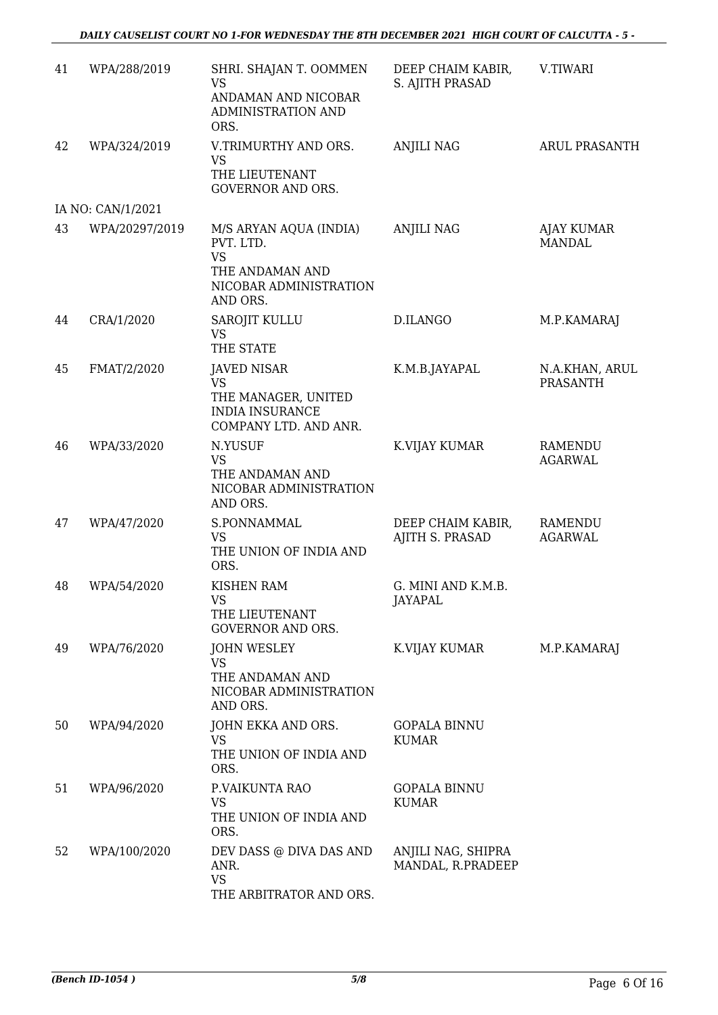| 41 | WPA/288/2019      | SHRI. SHAJAN T. OOMMEN<br><b>VS</b><br>ANDAMAN AND NICOBAR<br>ADMINISTRATION AND<br>ORS.                  | DEEP CHAIM KABIR,<br>S. AJITH PRASAD    | V.TIWARI                          |
|----|-------------------|-----------------------------------------------------------------------------------------------------------|-----------------------------------------|-----------------------------------|
| 42 | WPA/324/2019      | V.TRIMURTHY AND ORS.<br><b>VS</b><br>THE LIEUTENANT                                                       | <b>ANJILI NAG</b>                       | ARUL PRASANTH                     |
|    |                   | <b>GOVERNOR AND ORS.</b>                                                                                  |                                         |                                   |
|    | IA NO: CAN/1/2021 |                                                                                                           |                                         |                                   |
| 43 | WPA/20297/2019    | M/S ARYAN AQUA (INDIA)<br>PVT. LTD.<br><b>VS</b><br>THE ANDAMAN AND<br>NICOBAR ADMINISTRATION<br>AND ORS. | <b>ANJILI NAG</b>                       | AJAY KUMAR<br><b>MANDAL</b>       |
| 44 | CRA/1/2020        | <b>SAROJIT KULLU</b><br><b>VS</b>                                                                         | D.ILANGO                                | M.P.KAMARAJ                       |
| 45 |                   | THE STATE                                                                                                 | K.M.B.JAYAPAL                           |                                   |
|    | FMAT/2/2020       | <b>JAVED NISAR</b><br><b>VS</b><br>THE MANAGER, UNITED<br><b>INDIA INSURANCE</b><br>COMPANY LTD. AND ANR. |                                         | N.A.KHAN, ARUL<br><b>PRASANTH</b> |
| 46 | WPA/33/2020       | N.YUSUF<br><b>VS</b><br>THE ANDAMAN AND<br>NICOBAR ADMINISTRATION<br>AND ORS.                             | K.VIJAY KUMAR                           | <b>RAMENDU</b><br><b>AGARWAL</b>  |
| 47 | WPA/47/2020       | S.PONNAMMAL<br><b>VS</b><br>THE UNION OF INDIA AND<br>ORS.                                                | DEEP CHAIM KABIR,<br>AJITH S. PRASAD    | RAMENDU<br><b>AGARWAL</b>         |
| 48 | WPA/54/2020       | <b>KISHEN RAM</b><br>vs<br>THE LIEUTENANT<br><b>GOVERNOR AND ORS.</b>                                     | G. MINI AND K.M.B.<br>JAYAPAL           |                                   |
| 49 | WPA/76/2020       | <b>JOHN WESLEY</b><br><b>VS</b><br>THE ANDAMAN AND<br>NICOBAR ADMINISTRATION<br>AND ORS.                  | K.VIJAY KUMAR                           | M.P.KAMARAJ                       |
| 50 | WPA/94/2020       | JOHN EKKA AND ORS.<br><b>VS</b><br>THE UNION OF INDIA AND<br>ORS.                                         | <b>GOPALA BINNU</b><br><b>KUMAR</b>     |                                   |
| 51 | WPA/96/2020       | P.VAIKUNTA RAO<br><b>VS</b><br>THE UNION OF INDIA AND<br>ORS.                                             | <b>GOPALA BINNU</b><br><b>KUMAR</b>     |                                   |
| 52 | WPA/100/2020      | DEV DASS @ DIVA DAS AND<br>ANR.<br><b>VS</b><br>THE ARBITRATOR AND ORS.                                   | ANJILI NAG, SHIPRA<br>MANDAL, R.PRADEEP |                                   |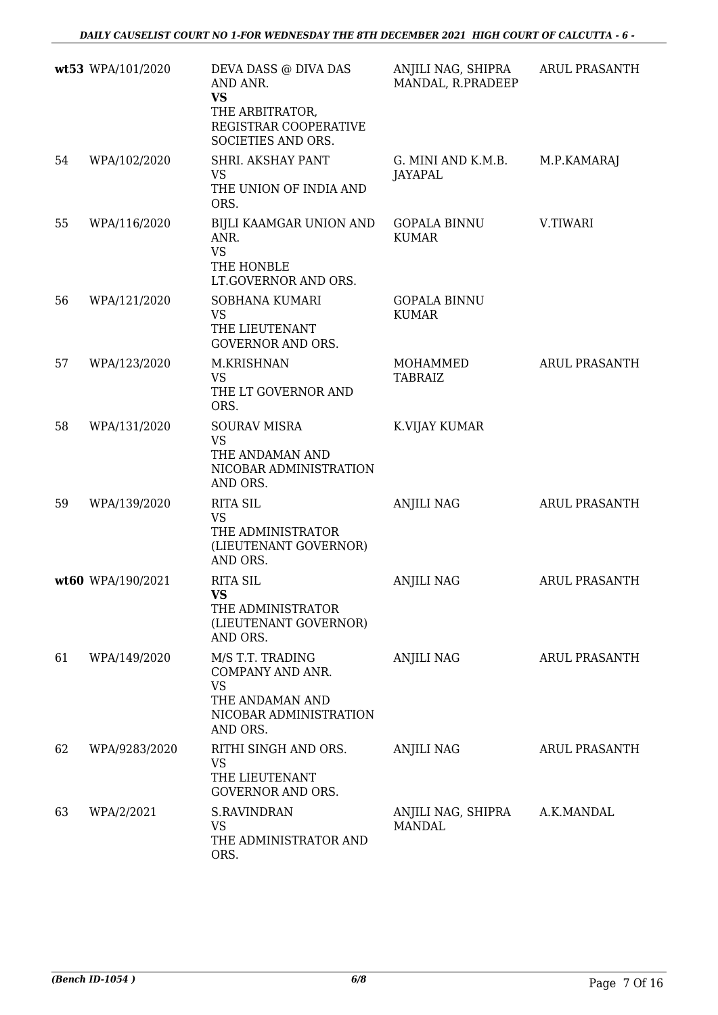|    | wt53 WPA/101/2020 | DEVA DASS @ DIVA DAS<br>AND ANR.<br><b>VS</b><br>THE ARBITRATOR,<br>REGISTRAR COOPERATIVE<br>SOCIETIES AND ORS. | ANJILI NAG, SHIPRA<br>MANDAL, R.PRADEEP | <b>ARUL PRASANTH</b> |
|----|-------------------|-----------------------------------------------------------------------------------------------------------------|-----------------------------------------|----------------------|
| 54 | WPA/102/2020      | SHRI. AKSHAY PANT<br><b>VS</b><br>THE UNION OF INDIA AND<br>ORS.                                                | G. MINI AND K.M.B.<br>JAYAPAL           | M.P.KAMARAJ          |
| 55 | WPA/116/2020      | BIJLI KAAMGAR UNION AND<br>ANR.<br><b>VS</b><br>THE HONBLE<br>LT.GOVERNOR AND ORS.                              | <b>GOPALA BINNU</b><br><b>KUMAR</b>     | V.TIWARI             |
| 56 | WPA/121/2020      | SOBHANA KUMARI<br><b>VS</b><br>THE LIEUTENANT<br><b>GOVERNOR AND ORS.</b>                                       | <b>GOPALA BINNU</b><br><b>KUMAR</b>     |                      |
| 57 | WPA/123/2020      | M.KRISHNAN<br><b>VS</b><br>THE LT GOVERNOR AND<br>ORS.                                                          | MOHAMMED<br><b>TABRAIZ</b>              | <b>ARUL PRASANTH</b> |
| 58 | WPA/131/2020      | <b>SOURAV MISRA</b><br><b>VS</b><br>THE ANDAMAN AND<br>NICOBAR ADMINISTRATION<br>AND ORS.                       | K.VIJAY KUMAR                           |                      |
| 59 | WPA/139/2020      | <b>RITA SIL</b><br><b>VS</b><br>THE ADMINISTRATOR<br>(LIEUTENANT GOVERNOR)<br>AND ORS.                          | ANJILI NAG                              | <b>ARUL PRASANTH</b> |
|    | wt60 WPA/190/2021 | <b>RITA SIL</b><br>VS.<br>THE ADMINISTRATOR<br>(LIEUTENANT GOVERNOR)<br>AND ORS.                                | <b>ANJILI NAG</b>                       | <b>ARUL PRASANTH</b> |
| 61 | WPA/149/2020      | M/S T.T. TRADING<br>COMPANY AND ANR.<br><b>VS</b><br>THE ANDAMAN AND<br>NICOBAR ADMINISTRATION<br>AND ORS.      | <b>ANJILI NAG</b>                       | <b>ARUL PRASANTH</b> |
| 62 | WPA/9283/2020     | RITHI SINGH AND ORS.<br><b>VS</b><br>THE LIEUTENANT<br><b>GOVERNOR AND ORS.</b>                                 | ANJILI NAG                              | <b>ARUL PRASANTH</b> |
| 63 | WPA/2/2021        | S.RAVINDRAN<br><b>VS</b><br>THE ADMINISTRATOR AND<br>ORS.                                                       | ANJILI NAG, SHIPRA<br><b>MANDAL</b>     | A.K.MANDAL           |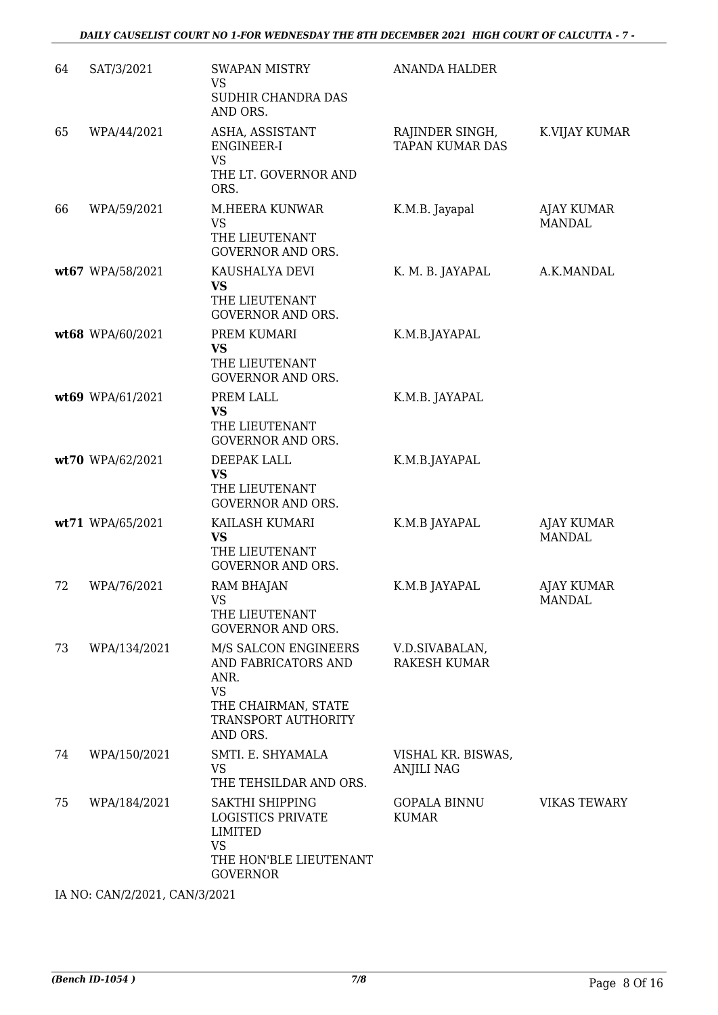| 64 | SAT/3/2021       | <b>SWAPAN MISTRY</b><br><b>VS</b><br>SUDHIR CHANDRA DAS<br>AND ORS.                                                        | <b>ANANDA HALDER</b>                      |                                    |
|----|------------------|----------------------------------------------------------------------------------------------------------------------------|-------------------------------------------|------------------------------------|
| 65 | WPA/44/2021      | ASHA, ASSISTANT<br>ENGINEER-I<br><b>VS</b><br>THE LT. GOVERNOR AND<br>ORS.                                                 | RAJINDER SINGH,<br><b>TAPAN KUMAR DAS</b> | K.VIJAY KUMAR                      |
| 66 | WPA/59/2021      | M.HEERA KUNWAR<br><b>VS</b><br>THE LIEUTENANT<br><b>GOVERNOR AND ORS.</b>                                                  | K.M.B. Jayapal                            | <b>AJAY KUMAR</b><br><b>MANDAL</b> |
|    | wt67 WPA/58/2021 | KAUSHALYA DEVI<br><b>VS</b><br>THE LIEUTENANT<br><b>GOVERNOR AND ORS.</b>                                                  | K. M. B. JAYAPAL                          | A.K.MANDAL                         |
|    | wt68 WPA/60/2021 | PREM KUMARI<br><b>VS</b><br>THE LIEUTENANT<br><b>GOVERNOR AND ORS.</b>                                                     | K.M.B.JAYAPAL                             |                                    |
|    | wt69 WPA/61/2021 | PREM LALL<br>VS<br>THE LIEUTENANT<br><b>GOVERNOR AND ORS.</b>                                                              | K.M.B. JAYAPAL                            |                                    |
|    | wt70 WPA/62/2021 | DEEPAK LALL<br>VS<br>THE LIEUTENANT<br><b>GOVERNOR AND ORS.</b>                                                            | K.M.B.JAYAPAL                             |                                    |
|    | wt71 WPA/65/2021 | KAILASH KUMARI<br><b>VS</b><br>THE LIEUTENANT<br><b>GOVERNOR AND ORS.</b>                                                  | K.M.B JAYAPAL                             | <b>AJAY KUMAR</b><br><b>MANDAL</b> |
| 72 | WPA/76/2021      | RAM BHAJAN<br>VS<br>THE LIEUTENANT<br><b>GOVERNOR AND ORS.</b>                                                             | K.M.B JAYAPAL                             | <b>AJAY KUMAR</b><br>MANDAL        |
| 73 | WPA/134/2021     | M/S SALCON ENGINEERS<br>AND FABRICATORS AND<br>ANR.<br><b>VS</b><br>THE CHAIRMAN, STATE<br>TRANSPORT AUTHORITY<br>AND ORS. | V.D.SIVABALAN,<br><b>RAKESH KUMAR</b>     |                                    |
| 74 | WPA/150/2021     | SMTI. E. SHYAMALA<br><b>VS</b><br>THE TEHSILDAR AND ORS.                                                                   | VISHAL KR. BISWAS,<br><b>ANJILI NAG</b>   |                                    |
| 75 | WPA/184/2021     | SAKTHI SHIPPING<br><b>LOGISTICS PRIVATE</b><br>LIMITED<br><b>VS</b><br>THE HON'BLE LIEUTENANT<br><b>GOVERNOR</b>           | GOPALA BINNU<br><b>KUMAR</b>              | <b>VIKAS TEWARY</b>                |

IA NO: CAN/2/2021, CAN/3/2021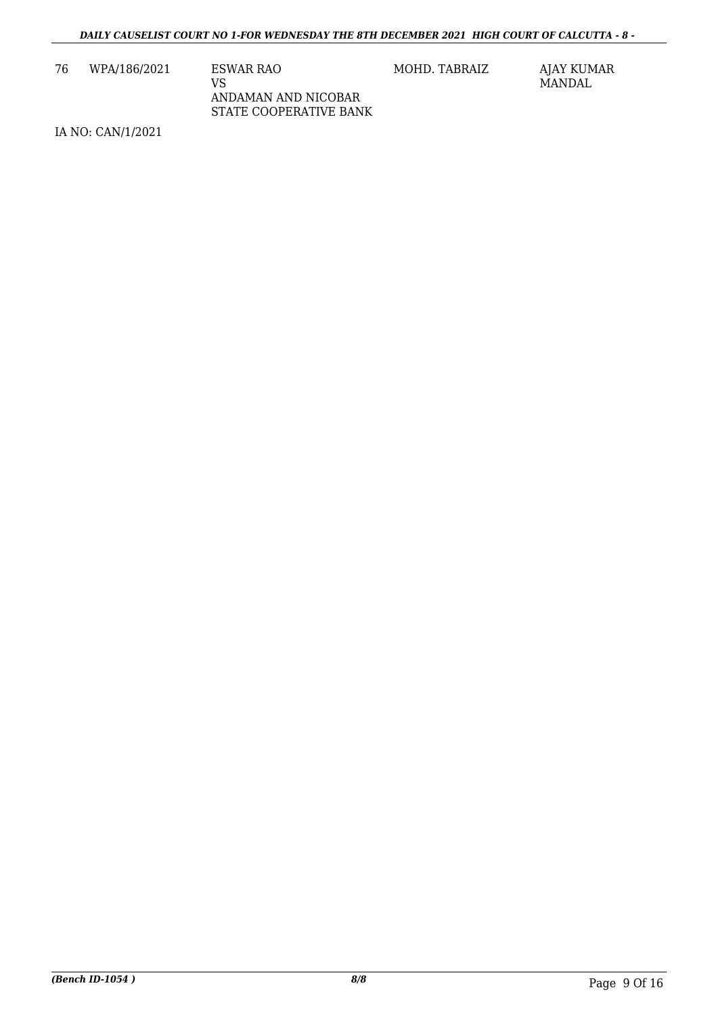76 WPA/186/2021 ESWAR RAO VS ANDAMAN AND NICOBAR STATE COOPERATIVE BANK MOHD. TABRAIZ AJAY KUMAR

MANDAL

IA NO: CAN/1/2021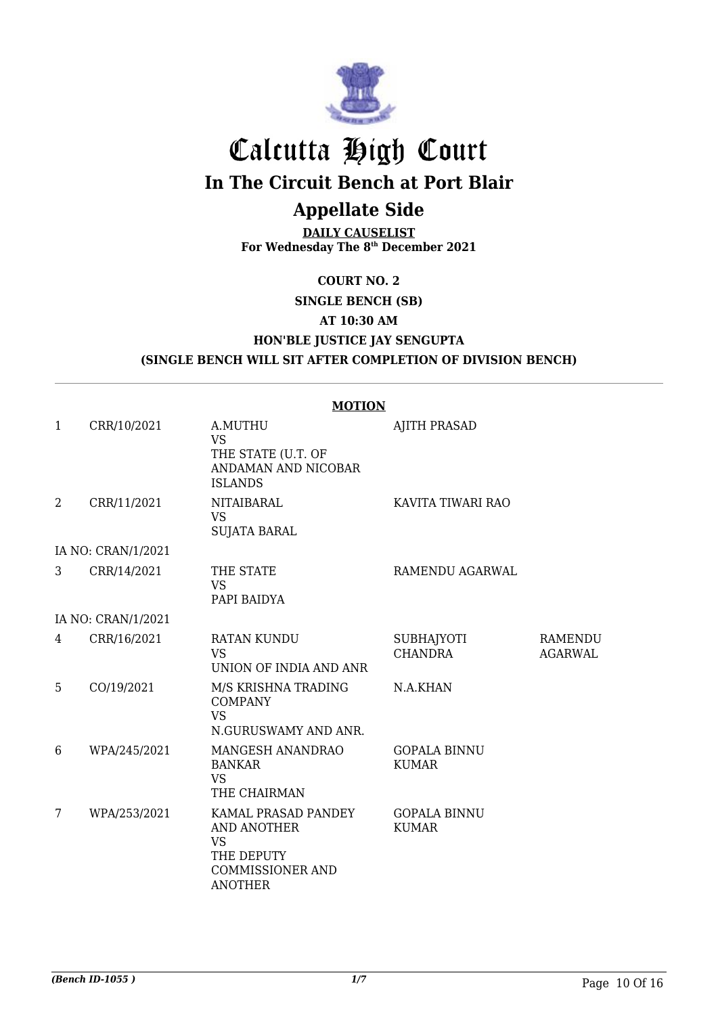

# Calcutta High Court **In The Circuit Bench at Port Blair**

# **Appellate Side**

**DAILY CAUSELIST For Wednesday The 8th December 2021**

## **COURT NO. 2 SINGLE BENCH (SB) AT 10:30 AM HON'BLE JUSTICE JAY SENGUPTA (SINGLE BENCH WILL SIT AFTER COMPLETION OF DIVISION BENCH)**

|                |                    | <b>MOTION</b>                                                                                              |                                     |                           |
|----------------|--------------------|------------------------------------------------------------------------------------------------------------|-------------------------------------|---------------------------|
| $\mathbf{1}$   | CRR/10/2021        | A.MUTHU<br><b>VS</b><br>THE STATE (U.T. OF<br>ANDAMAN AND NICOBAR<br><b>ISLANDS</b>                        | <b>AJITH PRASAD</b>                 |                           |
| $\overline{2}$ | CRR/11/2021        | NITAIBARAL<br><b>VS</b><br><b>SUJATA BARAL</b>                                                             | KAVITA TIWARI RAO                   |                           |
|                | IA NO: CRAN/1/2021 |                                                                                                            |                                     |                           |
| 3              | CRR/14/2021        | THE STATE<br><b>VS</b><br>PAPI BAIDYA                                                                      | RAMENDU AGARWAL                     |                           |
|                | IA NO: CRAN/1/2021 |                                                                                                            |                                     |                           |
| 4              | CRR/16/2021        | RATAN KUNDU<br><b>VS</b><br>UNION OF INDIA AND ANR                                                         | <b>SUBHAJYOTI</b><br><b>CHANDRA</b> | RAMENDU<br><b>AGARWAL</b> |
| 5              | CO/19/2021         | M/S KRISHNA TRADING<br><b>COMPANY</b><br><b>VS</b><br>N.GURUSWAMY AND ANR.                                 | N.A.KHAN                            |                           |
| 6              | WPA/245/2021       | MANGESH ANANDRAO<br><b>BANKAR</b><br><b>VS</b><br>THE CHAIRMAN                                             | <b>GOPALA BINNU</b><br><b>KUMAR</b> |                           |
| 7              | WPA/253/2021       | KAMAL PRASAD PANDEY<br>AND ANOTHER<br><b>VS</b><br>THE DEPUTY<br><b>COMMISSIONER AND</b><br><b>ANOTHER</b> | <b>GOPALA BINNU</b><br><b>KUMAR</b> |                           |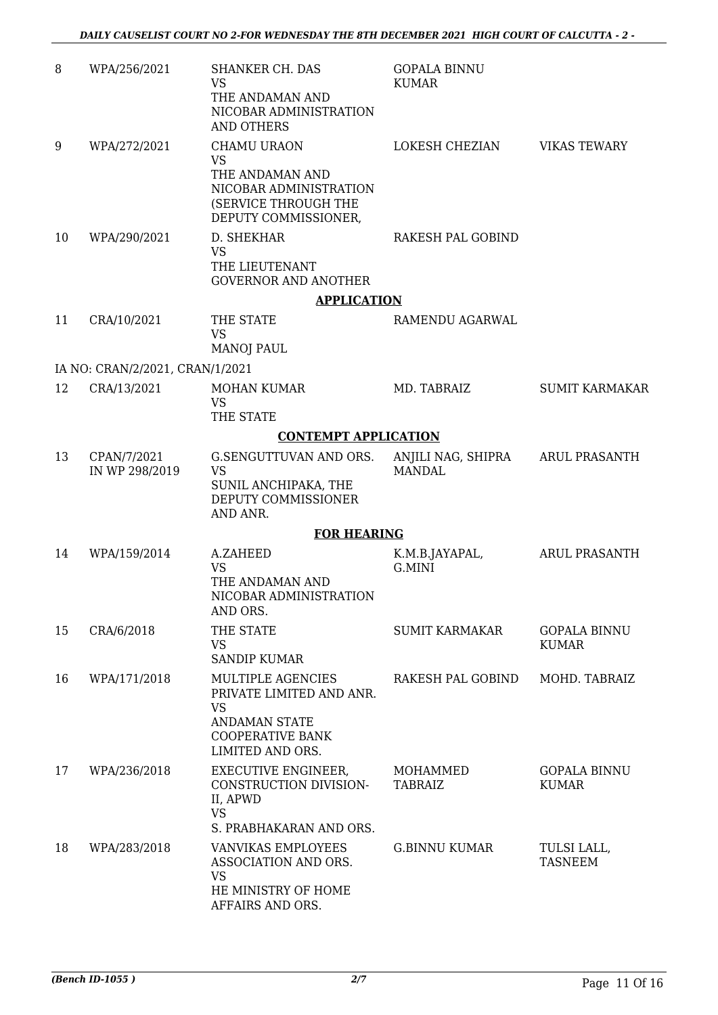| 8  | WPA/256/2021                    | SHANKER CH. DAS<br><b>VS</b><br>THE ANDAMAN AND<br>NICOBAR ADMINISTRATION<br><b>AND OTHERS</b>                                    | <b>GOPALA BINNU</b><br><b>KUMAR</b> |                                     |
|----|---------------------------------|-----------------------------------------------------------------------------------------------------------------------------------|-------------------------------------|-------------------------------------|
| 9  | WPA/272/2021                    | CHAMU URAON<br><b>VS</b><br>THE ANDAMAN AND<br>NICOBAR ADMINISTRATION<br>(SERVICE THROUGH THE<br>DEPUTY COMMISSIONER,             | LOKESH CHEZIAN                      | <b>VIKAS TEWARY</b>                 |
| 10 | WPA/290/2021                    | D. SHEKHAR<br><b>VS</b><br>THE LIEUTENANT<br><b>GOVERNOR AND ANOTHER</b>                                                          | RAKESH PAL GOBIND                   |                                     |
|    |                                 | <b>APPLICATION</b>                                                                                                                |                                     |                                     |
| 11 | CRA/10/2021                     | THE STATE<br><b>VS</b><br><b>MANOJ PAUL</b>                                                                                       | RAMENDU AGARWAL                     |                                     |
|    | IA NO: CRAN/2/2021, CRAN/1/2021 |                                                                                                                                   |                                     |                                     |
| 12 | CRA/13/2021                     | <b>MOHAN KUMAR</b><br><b>VS</b><br>THE STATE                                                                                      | MD. TABRAIZ                         | <b>SUMIT KARMAKAR</b>               |
|    |                                 | <b>CONTEMPT APPLICATION</b>                                                                                                       |                                     |                                     |
| 13 | CPAN/7/2021<br>IN WP 298/2019   | G.SENGUTTUVAN AND ORS.<br><b>VS</b><br>SUNIL ANCHIPAKA, THE<br>DEPUTY COMMISSIONER<br>AND ANR.                                    | ANJILI NAG, SHIPRA<br><b>MANDAL</b> | <b>ARUL PRASANTH</b>                |
|    |                                 | <b>FOR HEARING</b>                                                                                                                |                                     |                                     |
| 14 | WPA/159/2014                    | A.ZAHEED<br><b>VS</b><br>THE ANDAMAN AND<br>NICOBAR ADMINISTRATION<br>AND ORS.                                                    | K.M.B.JAYAPAL,<br>G.MINI            | <b>ARUL PRASANTH</b>                |
| 15 | CRA/6/2018                      | THE STATE<br><b>VS</b><br><b>SANDIP KUMAR</b>                                                                                     | <b>SUMIT KARMAKAR</b>               | <b>GOPALA BINNU</b><br><b>KUMAR</b> |
| 16 | WPA/171/2018                    | MULTIPLE AGENCIES<br>PRIVATE LIMITED AND ANR.<br><b>VS</b><br><b>ANDAMAN STATE</b><br><b>COOPERATIVE BANK</b><br>LIMITED AND ORS. | RAKESH PAL GOBIND                   | MOHD. TABRAIZ                       |
| 17 | WPA/236/2018                    | <b>EXECUTIVE ENGINEER,</b><br>CONSTRUCTION DIVISION-<br>II, APWD<br><b>VS</b><br>S. PRABHAKARAN AND ORS.                          | MOHAMMED<br><b>TABRAIZ</b>          | <b>GOPALA BINNU</b><br><b>KUMAR</b> |
| 18 | WPA/283/2018                    | VANVIKAS EMPLOYEES<br>ASSOCIATION AND ORS.<br><b>VS</b><br>HE MINISTRY OF HOME<br>AFFAIRS AND ORS.                                | <b>G.BINNU KUMAR</b>                | TULSI LALL,<br><b>TASNEEM</b>       |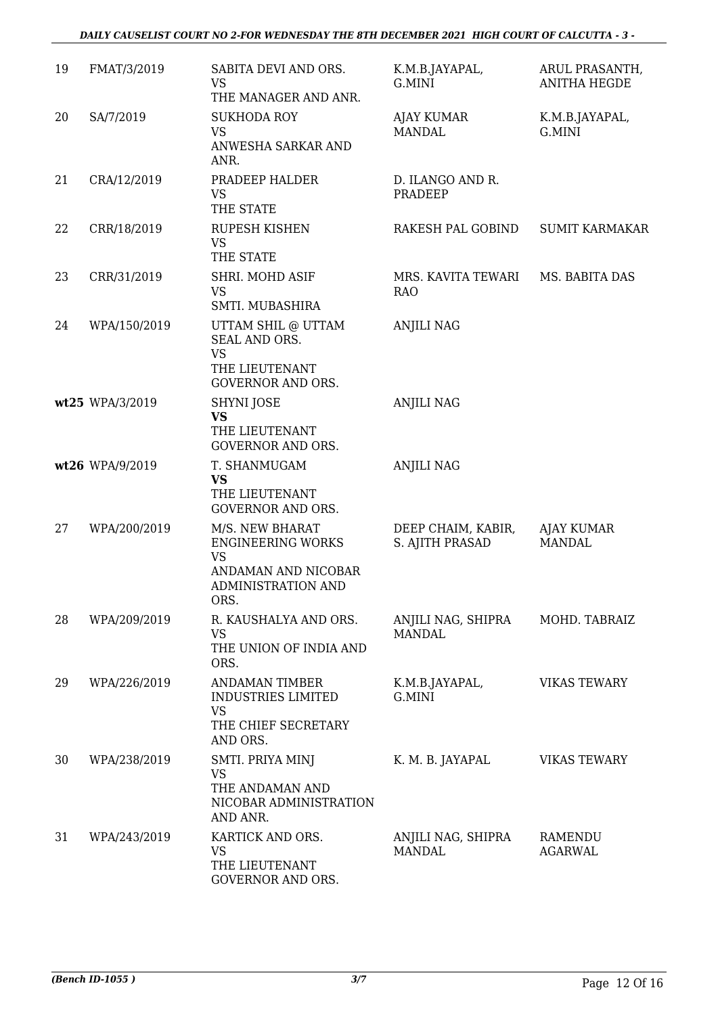#### *DAILY CAUSELIST COURT NO 2-FOR WEDNESDAY THE 8TH DECEMBER 2021 HIGH COURT OF CALCUTTA - 3 -*

| 19 | FMAT/3/2019     | SABITA DEVI AND ORS.<br><b>VS</b><br>THE MANAGER AND ANR.                                                     | K.M.B.JAYAPAL,<br>G.MINI              | ARUL PRASANTH,<br><b>ANITHA HEGDE</b> |
|----|-----------------|---------------------------------------------------------------------------------------------------------------|---------------------------------------|---------------------------------------|
| 20 | SA/7/2019       | <b>SUKHODA ROY</b><br><b>VS</b><br>ANWESHA SARKAR AND<br>ANR.                                                 | AJAY KUMAR<br><b>MANDAL</b>           | K.M.B.JAYAPAL,<br>G.MINI              |
| 21 | CRA/12/2019     | PRADEEP HALDER<br><b>VS</b><br>THE STATE                                                                      | D. ILANGO AND R.<br>PRADEEP           |                                       |
| 22 | CRR/18/2019     | <b>RUPESH KISHEN</b><br><b>VS</b><br>THE STATE                                                                | RAKESH PAL GOBIND                     | <b>SUMIT KARMAKAR</b>                 |
| 23 | CRR/31/2019     | SHRI. MOHD ASIF<br><b>VS</b><br>SMTI. MUBASHIRA                                                               | MRS. KAVITA TEWARI<br><b>RAO</b>      | MS. BABITA DAS                        |
| 24 | WPA/150/2019    | UTTAM SHIL @ UTTAM<br>SEAL AND ORS.<br><b>VS</b><br>THE LIEUTENANT<br><b>GOVERNOR AND ORS.</b>                | <b>ANJILI NAG</b>                     |                                       |
|    | wt25 WPA/3/2019 | <b>SHYNI JOSE</b><br><b>VS</b><br>THE LIEUTENANT<br><b>GOVERNOR AND ORS.</b>                                  | <b>ANJILI NAG</b>                     |                                       |
|    | wt26 WPA/9/2019 | T. SHANMUGAM<br><b>VS</b><br>THE LIEUTENANT<br><b>GOVERNOR AND ORS.</b>                                       | <b>ANJILI NAG</b>                     |                                       |
| 27 | WPA/200/2019    | M/S. NEW BHARAT<br><b>ENGINEERING WORKS</b><br><b>VS</b><br>ANDAMAN AND NICOBAR<br>ADMINISTRATION AND<br>ORS. | DEEP CHAIM, KABIR,<br>S. AJITH PRASAD | AJAY KUMAR<br><b>MANDAL</b>           |
| 28 | WPA/209/2019    | R. KAUSHALYA AND ORS.<br><b>VS</b><br>THE UNION OF INDIA AND<br>ORS.                                          | ANJILI NAG, SHIPRA<br><b>MANDAL</b>   | MOHD. TABRAIZ                         |
| 29 | WPA/226/2019    | <b>ANDAMAN TIMBER</b><br><b>INDUSTRIES LIMITED</b><br><b>VS</b><br>THE CHIEF SECRETARY<br>AND ORS.            | K.M.B.JAYAPAL,<br>G.MINI              | <b>VIKAS TEWARY</b>                   |
| 30 | WPA/238/2019    | SMTI. PRIYA MINJ<br><b>VS</b><br>THE ANDAMAN AND<br>NICOBAR ADMINISTRATION<br>AND ANR.                        | K. M. B. JAYAPAL                      | <b>VIKAS TEWARY</b>                   |
| 31 | WPA/243/2019    | KARTICK AND ORS.<br><b>VS</b><br>THE LIEUTENANT<br>GOVERNOR AND ORS.                                          | ANJILI NAG, SHIPRA<br><b>MANDAL</b>   | <b>RAMENDU</b><br><b>AGARWAL</b>      |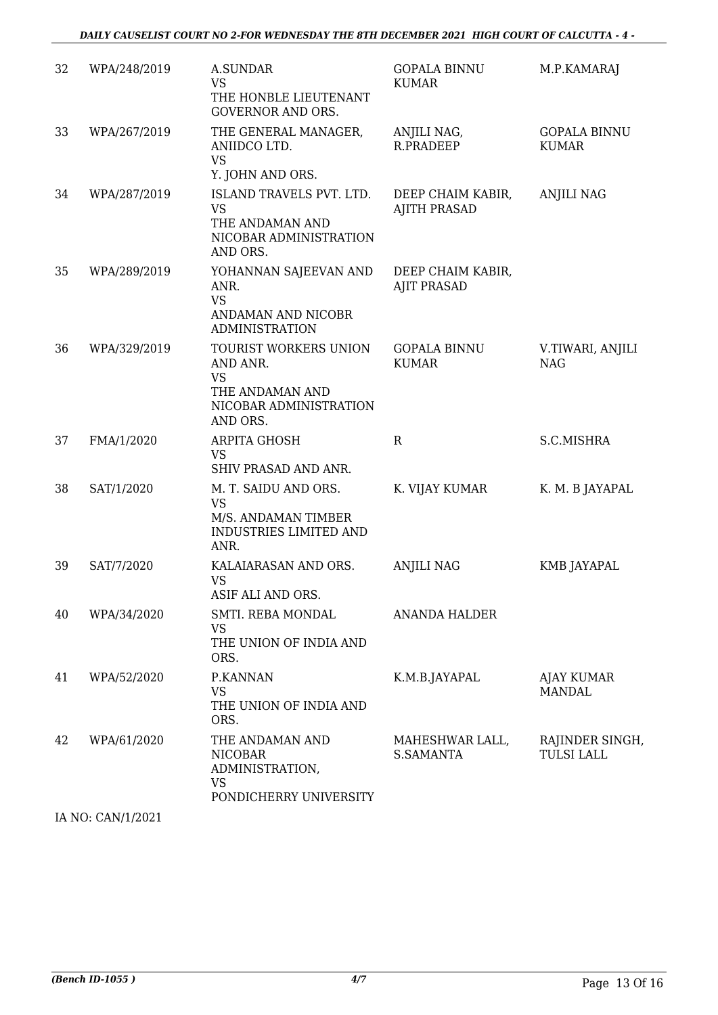| 32 | WPA/248/2019 | A.SUNDAR<br><b>VS</b><br>THE HONBLE LIEUTENANT<br><b>GOVERNOR AND ORS.</b>                              | <b>GOPALA BINNU</b><br><b>KUMAR</b>      | M.P.KAMARAJ                          |
|----|--------------|---------------------------------------------------------------------------------------------------------|------------------------------------------|--------------------------------------|
| 33 | WPA/267/2019 | THE GENERAL MANAGER,<br>ANIIDCO LTD.<br><b>VS</b><br>Y. JOHN AND ORS.                                   | ANJILI NAG,<br><b>R.PRADEEP</b>          | <b>GOPALA BINNU</b><br><b>KUMAR</b>  |
| 34 | WPA/287/2019 | ISLAND TRAVELS PVT. LTD.<br><b>VS</b><br>THE ANDAMAN AND<br>NICOBAR ADMINISTRATION<br>AND ORS.          | DEEP CHAIM KABIR,<br><b>AJITH PRASAD</b> | ANJILI NAG                           |
| 35 | WPA/289/2019 | YOHANNAN SAJEEVAN AND<br>ANR.<br><b>VS</b><br>ANDAMAN AND NICOBR<br><b>ADMINISTRATION</b>               | DEEP CHAIM KABIR,<br><b>AJIT PRASAD</b>  |                                      |
| 36 | WPA/329/2019 | TOURIST WORKERS UNION<br>AND ANR.<br><b>VS</b><br>THE ANDAMAN AND<br>NICOBAR ADMINISTRATION<br>AND ORS. | <b>GOPALA BINNU</b><br><b>KUMAR</b>      | V.TIWARI, ANJILI<br><b>NAG</b>       |
| 37 | FMA/1/2020   | ARPITA GHOSH<br><b>VS</b><br>SHIV PRASAD AND ANR.                                                       | $\mathbb{R}$                             | S.C.MISHRA                           |
| 38 | SAT/1/2020   | M. T. SAIDU AND ORS.<br><b>VS</b><br>M/S. ANDAMAN TIMBER<br><b>INDUSTRIES LIMITED AND</b><br>ANR.       | K. VIJAY KUMAR                           | K. M. B JAYAPAL                      |
| 39 | SAT/7/2020   | KALAIARASAN AND ORS.<br><b>VS</b><br>ASIF ALI AND ORS.                                                  | <b>ANJILI NAG</b>                        | KMB JAYAPAL                          |
| 40 | WPA/34/2020  | SMTI. REBA MONDAL<br><b>VS</b><br>THE UNION OF INDIA AND<br>ORS.                                        | <b>ANANDA HALDER</b>                     |                                      |
| 41 | WPA/52/2020  | P.KANNAN<br><b>VS</b><br>THE UNION OF INDIA AND<br>ORS.                                                 | K.M.B.JAYAPAL                            | AJAY KUMAR<br><b>MANDAL</b>          |
| 42 | WPA/61/2020  | THE ANDAMAN AND<br><b>NICOBAR</b><br>ADMINISTRATION,<br><b>VS</b><br>PONDICHERRY UNIVERSITY             | MAHESHWAR LALL,<br>S.SAMANTA             | RAJINDER SINGH,<br><b>TULSI LALL</b> |
|    |              |                                                                                                         |                                          |                                      |

IA NO: CAN/1/2021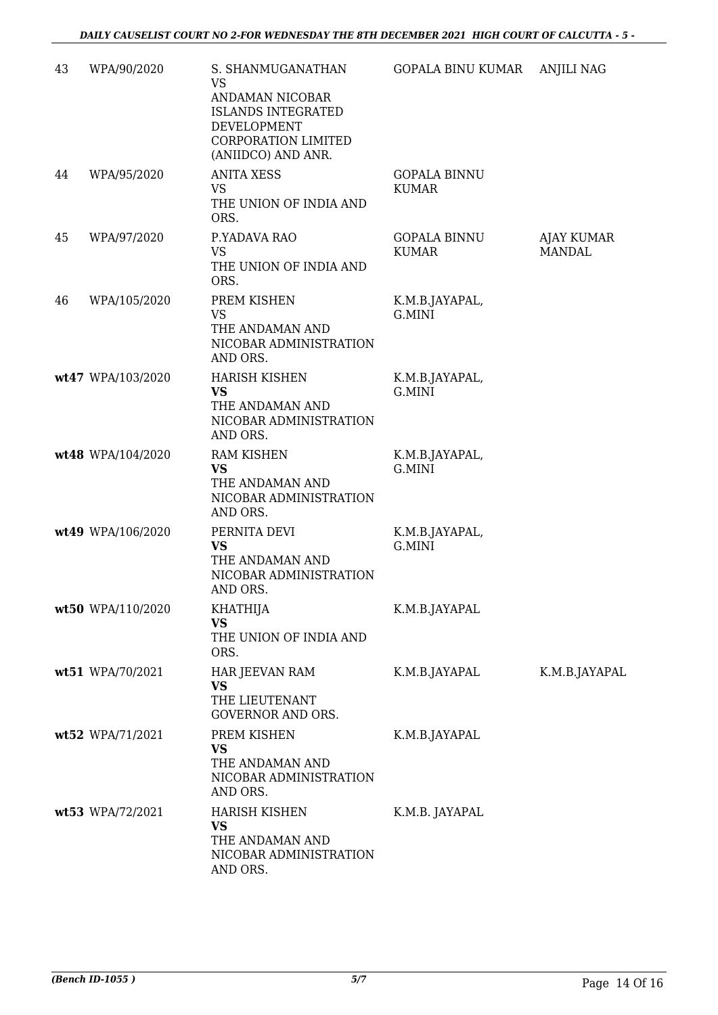| 43 | WPA/90/2020       | S. SHANMUGANATHAN<br><b>VS</b><br>ANDAMAN NICOBAR<br><b>ISLANDS INTEGRATED</b><br>DEVELOPMENT<br><b>CORPORATION LIMITED</b><br>(ANIIDCO) AND ANR. | GOPALA BINU KUMAR                   | <b>ANJILI NAG</b>           |
|----|-------------------|---------------------------------------------------------------------------------------------------------------------------------------------------|-------------------------------------|-----------------------------|
| 44 | WPA/95/2020       | <b>ANITA XESS</b><br>VS<br>THE UNION OF INDIA AND<br>ORS.                                                                                         | <b>GOPALA BINNU</b><br><b>KUMAR</b> |                             |
| 45 | WPA/97/2020       | P.YADAVA RAO<br><b>VS</b><br>THE UNION OF INDIA AND<br>ORS.                                                                                       | <b>GOPALA BINNU</b><br><b>KUMAR</b> | AJAY KUMAR<br><b>MANDAL</b> |
| 46 | WPA/105/2020      | PREM KISHEN<br><b>VS</b><br>THE ANDAMAN AND<br>NICOBAR ADMINISTRATION<br>AND ORS.                                                                 | K.M.B.JAYAPAL,<br>G.MINI            |                             |
|    | wt47 WPA/103/2020 | <b>HARISH KISHEN</b><br><b>VS</b><br>THE ANDAMAN AND<br>NICOBAR ADMINISTRATION<br>AND ORS.                                                        | K.M.B.JAYAPAL,<br>G.MINI            |                             |
|    | wt48 WPA/104/2020 | RAM KISHEN<br><b>VS</b><br>THE ANDAMAN AND<br>NICOBAR ADMINISTRATION<br>AND ORS.                                                                  | K.M.B.JAYAPAL,<br>G.MINI            |                             |
|    | wt49 WPA/106/2020 | PERNITA DEVI<br><b>VS</b><br>THE ANDAMAN AND<br>NICOBAR ADMINISTRATION<br>AND ORS.                                                                | K.M.B.JAYAPAL,<br>G.MINI            |                             |
|    | wt50 WPA/110/2020 | KHATHIJA<br><b>VS</b><br>THE UNION OF INDIA AND<br>ORS.                                                                                           | K.M.B.JAYAPAL                       |                             |
|    | wt51 WPA/70/2021  | HAR JEEVAN RAM<br><b>VS</b><br>THE LIEUTENANT<br>GOVERNOR AND ORS.                                                                                | K.M.B.JAYAPAL                       | K.M.B.JAYAPAL               |
|    | wt52 WPA/71/2021  | PREM KISHEN<br><b>VS</b><br>THE ANDAMAN AND<br>NICOBAR ADMINISTRATION<br>AND ORS.                                                                 | K.M.B.JAYAPAL                       |                             |
|    | wt53 WPA/72/2021  | <b>HARISH KISHEN</b><br><b>VS</b><br>THE ANDAMAN AND<br>NICOBAR ADMINISTRATION<br>AND ORS.                                                        | K.M.B. JAYAPAL                      |                             |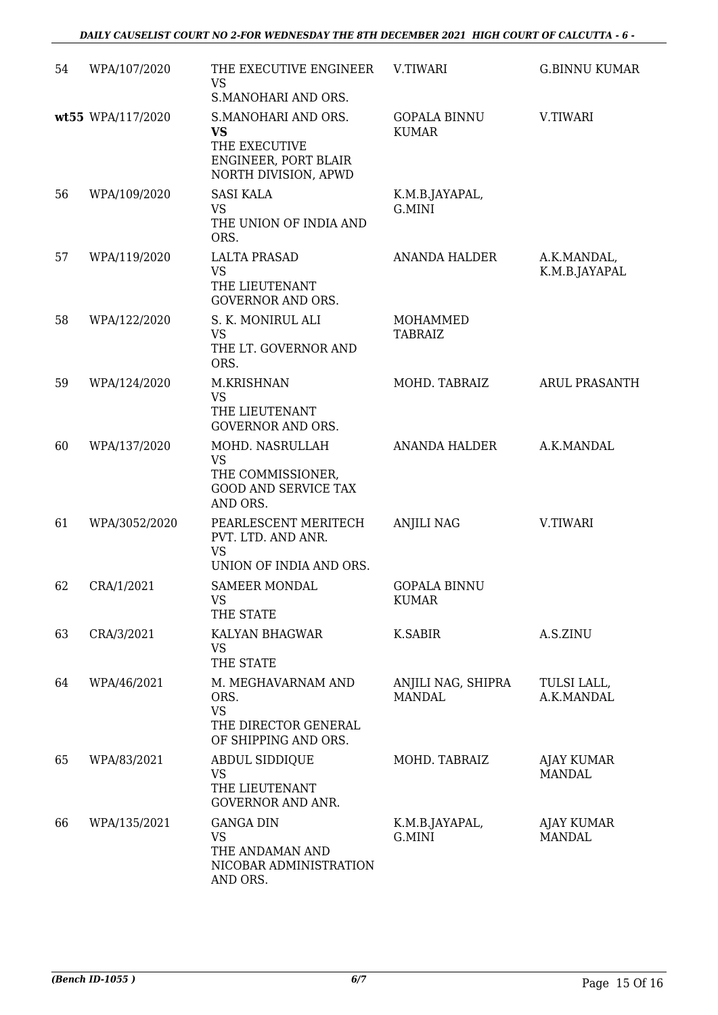| 54 | WPA/107/2020      | THE EXECUTIVE ENGINEER<br><b>VS</b><br>S.MANOHARI AND ORS.                                        | V.TIWARI                            | <b>G.BINNU KUMAR</b>               |
|----|-------------------|---------------------------------------------------------------------------------------------------|-------------------------------------|------------------------------------|
|    | wt55 WPA/117/2020 | S.MANOHARI AND ORS.<br><b>VS</b><br>THE EXECUTIVE<br>ENGINEER, PORT BLAIR<br>NORTH DIVISION, APWD | <b>GOPALA BINNU</b><br><b>KUMAR</b> | V.TIWARI                           |
| 56 | WPA/109/2020      | <b>SASI KALA</b><br><b>VS</b><br>THE UNION OF INDIA AND<br>ORS.                                   | K.M.B.JAYAPAL,<br>G.MINI            |                                    |
| 57 | WPA/119/2020      | <b>LALTA PRASAD</b><br><b>VS</b><br>THE LIEUTENANT<br><b>GOVERNOR AND ORS.</b>                    | <b>ANANDA HALDER</b>                | A.K.MANDAL,<br>K.M.B.JAYAPAL       |
| 58 | WPA/122/2020      | S. K. MONIRUL ALI<br><b>VS</b><br>THE LT. GOVERNOR AND<br>ORS.                                    | MOHAMMED<br><b>TABRAIZ</b>          |                                    |
| 59 | WPA/124/2020      | M.KRISHNAN<br><b>VS</b><br>THE LIEUTENANT<br><b>GOVERNOR AND ORS.</b>                             | MOHD. TABRAIZ                       | <b>ARUL PRASANTH</b>               |
| 60 | WPA/137/2020      | MOHD. NASRULLAH<br><b>VS</b><br>THE COMMISSIONER,<br><b>GOOD AND SERVICE TAX</b><br>AND ORS.      | ANANDA HALDER                       | A.K.MANDAL                         |
| 61 | WPA/3052/2020     | PEARLESCENT MERITECH<br>PVT. LTD. AND ANR.<br><b>VS</b><br>UNION OF INDIA AND ORS.                | <b>ANJILI NAG</b>                   | V.TIWARI                           |
| 62 | CRA/1/2021        | <b>SAMEER MONDAL</b><br>VS<br>THE STATE                                                           | <b>GOPALA BINNU</b><br>KUMAR        |                                    |
| 63 | CRA/3/2021        | KALYAN BHAGWAR<br><b>VS</b><br>THE STATE                                                          | K.SABIR                             | A.S.ZINU                           |
| 64 | WPA/46/2021       | M. MEGHAVARNAM AND<br>ORS.<br><b>VS</b><br>THE DIRECTOR GENERAL<br>OF SHIPPING AND ORS.           | ANJILI NAG, SHIPRA<br><b>MANDAL</b> | TULSI LALL,<br>A.K.MANDAL          |
| 65 | WPA/83/2021       | ABDUL SIDDIQUE<br><b>VS</b><br>THE LIEUTENANT<br><b>GOVERNOR AND ANR.</b>                         | MOHD. TABRAIZ                       | <b>AJAY KUMAR</b><br><b>MANDAL</b> |
| 66 | WPA/135/2021      | <b>GANGA DIN</b><br><b>VS</b><br>THE ANDAMAN AND<br>NICOBAR ADMINISTRATION<br>AND ORS.            | K.M.B.JAYAPAL,<br>G.MINI            | <b>AJAY KUMAR</b><br><b>MANDAL</b> |